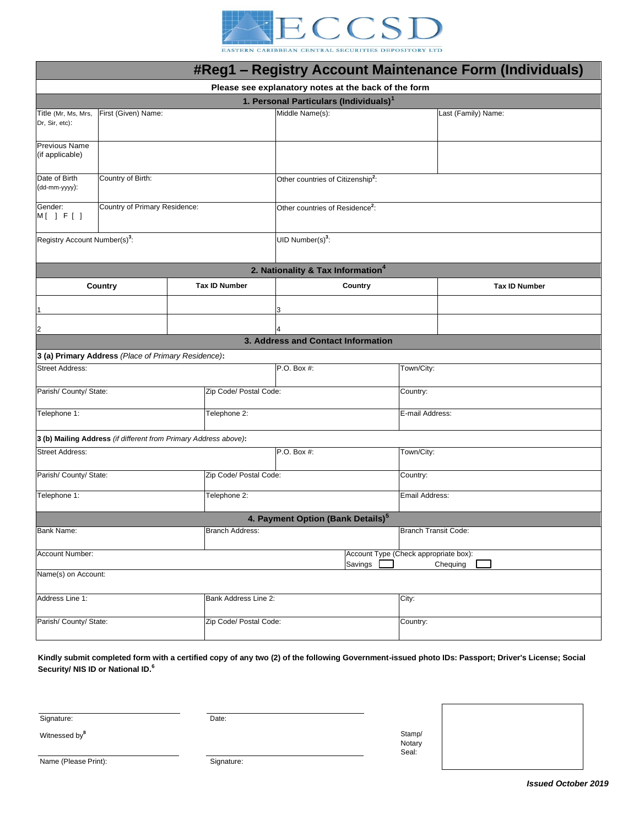

EASTERN CARIBBEAN CENTRAL SECURITIES DEPOSITORY LTD

| #Reg1 - Registry Account Maintenance Form (Individuals)          |                               |                                                              |                        |                                               |            |                 |                      |  |  |
|------------------------------------------------------------------|-------------------------------|--------------------------------------------------------------|------------------------|-----------------------------------------------|------------|-----------------|----------------------|--|--|
| Please see explanatory notes at the back of the form             |                               |                                                              |                        |                                               |            |                 |                      |  |  |
| 1. Personal Particulars (Individuals) <sup>1</sup>               |                               |                                                              |                        |                                               |            |                 |                      |  |  |
| Title (Mr, Ms, Mrs,<br>Dr, Sir, etc):                            | First (Given) Name:           |                                                              |                        | Middle Name(s):                               |            |                 | Last (Family) Name:  |  |  |
| <b>Previous Name</b><br>(if applicable)                          |                               |                                                              |                        |                                               |            |                 |                      |  |  |
| Date of Birth<br>(dd-mm-yyyy):                                   | Country of Birth:             |                                                              |                        | Other countries of Citizenship <sup>2</sup> : |            |                 |                      |  |  |
| Gender:<br>M[ ] F[ ]                                             | Country of Primary Residence: |                                                              |                        | Other countries of Residence <sup>2</sup> :   |            |                 |                      |  |  |
| Registry Account Number(s) <sup>3</sup> :                        |                               |                                                              |                        | UID Number(s) $3$ :                           |            |                 |                      |  |  |
| 2. Nationality & Tax Information <sup>4</sup>                    |                               |                                                              |                        |                                               |            |                 |                      |  |  |
| Country                                                          |                               |                                                              | <b>Tax ID Number</b>   | Country                                       |            |                 | <b>Tax ID Number</b> |  |  |
|                                                                  |                               |                                                              |                        | 3                                             |            |                 |                      |  |  |
| $\overline{2}$                                                   |                               |                                                              |                        | 4                                             |            |                 |                      |  |  |
|                                                                  |                               |                                                              |                        | 3. Address and Contact Information            |            |                 |                      |  |  |
| 3 (a) Primary Address (Place of Primary Residence):              |                               |                                                              |                        |                                               |            |                 |                      |  |  |
| <b>Street Address:</b>                                           |                               |                                                              | P.O. Box #:            |                                               | Town/City: |                 |                      |  |  |
| Parish/ County/ State:                                           |                               |                                                              | Zip Code/ Postal Code: |                                               |            | Country:        |                      |  |  |
| Telephone 1:                                                     |                               |                                                              | Telephone 2:           |                                               |            | E-mail Address: |                      |  |  |
| 3 (b) Mailing Address (if different from Primary Address above): |                               |                                                              |                        |                                               |            |                 |                      |  |  |
| <b>Street Address:</b>                                           |                               |                                                              |                        | P.O. Box #:                                   |            | Town/City:      |                      |  |  |
| Parish/ County/ State:                                           |                               |                                                              | Zip Code/ Postal Code: |                                               |            | Country:        |                      |  |  |
| Telephone 1:                                                     |                               |                                                              | Telephone 2:           |                                               |            | Email Address:  |                      |  |  |
| 4. Payment Option (Bank Details) <sup>5</sup>                    |                               |                                                              |                        |                                               |            |                 |                      |  |  |
| Bank Name:                                                       |                               |                                                              | <b>Branch Address:</b> |                                               |            |                 | Branch Transit Code: |  |  |
| Account Number:                                                  |                               | Account Type (Check appropriate box):<br>Savings<br>Chequing |                        |                                               |            |                 |                      |  |  |
| Name(s) on Account:                                              |                               |                                                              |                        |                                               |            |                 |                      |  |  |
| Address Line 1:<br>Bank Address Line 2:                          |                               |                                                              |                        |                                               | City:      |                 |                      |  |  |
| Parish/ County/ State:                                           |                               |                                                              | Zip Code/ Postal Code: |                                               |            | Country:        |                      |  |  |
|                                                                  |                               |                                                              |                        |                                               |            |                 |                      |  |  |

**Kindly submit completed form with a certified copy of any two (2) of the following Government-issued photo IDs: Passport; Driver's License; Social Security/ NIS ID or National ID.<sup>6</sup>**

Signature:

Witnessed by**<sup>8</sup>**

Date:

Stamp/ **Notary** Seal: